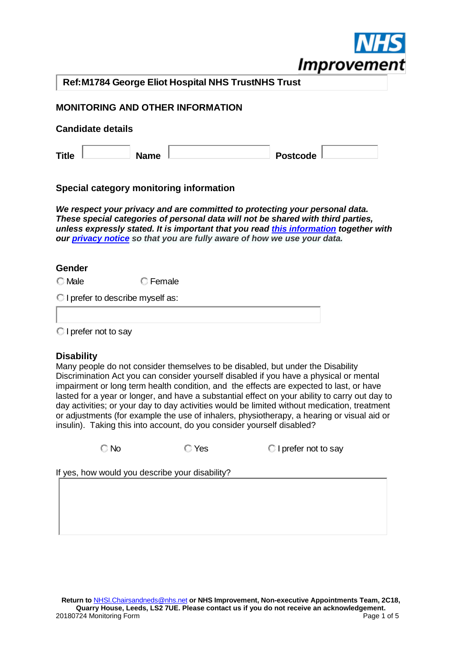

**Ref:M1784 George Eliot Hospital NHS TrustNHS Trust**

## **MONITORING AND OTHER INFORMATION**

#### **Candidate details**

| <b>Title</b> |             |          |  |
|--------------|-------------|----------|--|
|              | <b>Name</b> | Postcode |  |

## **Special category monitoring information**

*We respect your privacy and are committed to protecting your personal data. These special categories of personal data will not be shared with third parties, unless expressly stated. It is important that you read [this information](https://improvement.nhs.uk/news-alerts/how-we-are-using-your-personal-information/?utm_campaign=1421698_Public%20appointments%20update&utm_medium=email&utm_source=Monitor&utm_orgtype=&dm_i=2J9J,UGZM,5XZW3L,28QOE,1) together with our [privacy notice](https://improvement.nhs.uk/privacy/) so that you are fully aware of how we use your data.* 

#### **Gender**

C Male **C** Female

**I prefer to describe myself as:** 

**I** prefer not to say

## **Disability**

Many people do not consider themselves to be disabled, but under the Disability Discrimination Act you can consider yourself disabled if you have a physical or mental impairment or long term health condition, and the effects are expected to last, or have lasted for a year or longer, and have a substantial effect on your ability to carry out day to day activities; or your day to day activities would be limited without medication, treatment or adjustments (for example the use of inhalers, physiotherapy, a hearing or visual aid or insulin). Taking this into account, do you consider yourself disabled?

C No C Yes C I prefer not to say

If yes, how would you describe your disability?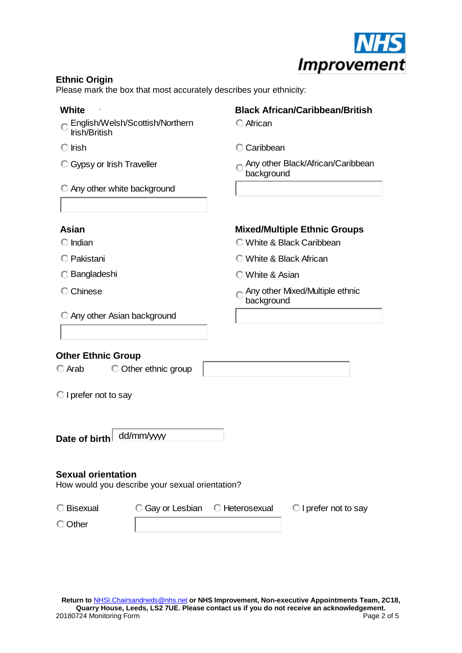

# **Ethnic Origin**

Please mark the box that most accurately describes your ethnicity:

# **White Black African/Caribbean/British**

- English/Welsh/Scottish/Northern Irish/British African
- 
- 

- C Irish Caribbean
- $\degree$  Gypsy or Irish Traveller  $\degree$  Any other Black/African/Caribbean background

Any other white background

Any other Asian background

# **Asian Mixed/Multiple Ethnic Groups**

- Indian White & Black Caribbean
- Pakistani White & Black African
- Bangladeshi White & Asian
- C Chinese **Any other Mixed/Multiple ethnic** background

# **Other Ethnic Group**

| Arab |
|------|

 $\bigcirc$  Other ethnic group

**I** prefer not to say

Date of birth dd/mm/ww

## **Sexual orientation**

How would you describe your sexual orientation?

| C Bisexual |  | C Gay or Lesbian C Heterosexual C I prefer not to say |
|------------|--|-------------------------------------------------------|
| C Other    |  |                                                       |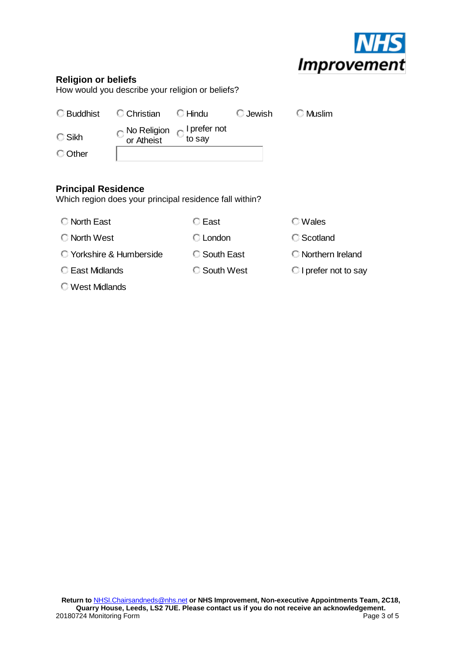

## **Religion or beliefs**

How would you describe your religion or beliefs?

|                 | C Buddhist C Christian C Hindu                                      | ◯ Jewish | ⊟ Muslim |
|-----------------|---------------------------------------------------------------------|----------|----------|
| $\bigcirc$ Sikh | $\bigcirc$ No Religion $\bigcirc$ I prefer not<br>or Atheist to say |          |          |
| © Other         |                                                                     |          |          |

## **Principal Residence**

Which region does your principal residence fall within?

C North East C East C Wales

C North West C London C Scotland

C Yorkshire & Humberside C South East C Northern Ireland

- 
- West Midlands
- 
- C East Midlands C South West C I prefer not to say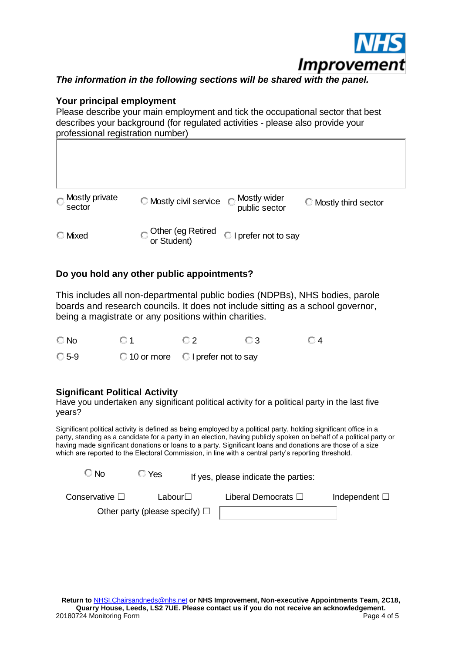

# *The information in the following sections will be shared with the panel.*

## **Your principal employment**

Please describe your main employment and tick the occupational sector that best describes your background (for regulated activities - please also provide your professional registration number)

| $\bigcirc$ Mostly private<br>sector | <b>C</b> Mostly civil service      | $_{\shortparallel}$ Mostly wider<br>public sector | C Mostly third sector |
|-------------------------------------|------------------------------------|---------------------------------------------------|-----------------------|
| <b>C</b> Mixed                      | O Other (eg Retired<br>or Student) | I prefer not to say                               |                       |

# **Do you hold any other public appointments?**

This includes all non-departmental public bodies (NDPBs), NHS bodies, parole boards and research councils. It does not include sitting as a school governor, being a magistrate or any positions within charities.

No 01 02 03 04 C 5-9 C 10 or more C I prefer not to say

## **Significant Political Activity**

Have you undertaken any significant political activity for a political party in the last five years?

Significant political activity is defined as being employed by a political party, holding significant office in a party, standing as a candidate for a party in an election, having publicly spoken on behalf of a political party or having made significant donations or loans to a party. Significant loans and donations are those of a size which are reported to the Electoral Commission, in line with a central party's reporting threshold.

| © No                                | ○ Yes            | If yes, please indicate the parties: |                             |                       |  |
|-------------------------------------|------------------|--------------------------------------|-----------------------------|-----------------------|--|
| Conservative $\Box$                 | Labour $\square$ |                                      | Liberal Democrats $\square$ | Independent $\square$ |  |
| Other party (please specify) $\Box$ |                  |                                      |                             |                       |  |
|                                     |                  |                                      |                             |                       |  |